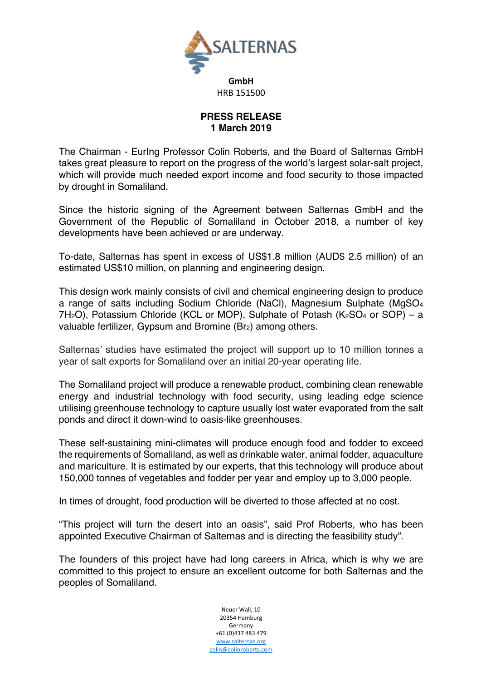

## **PRESS RELEASE 1 March 2019**

The Chairman - EurIng Professor Colin Roberts, and the Board of Salternas GmbH takes great pleasure to report on the progress of the world's largest solar-salt project, which will provide much needed export income and food security to those impacted by drought in Somaliland.

Since the historic signing of the Agreement between Salternas GmbH and the Government of the Republic of Somaliland in October 2018, a number of key developments have been achieved or are underway.

To-date, Salternas has spent in excess of US\$1.8 million (AUD\$ 2.5 million) of an estimated US\$10 million, on planning and engineering design.

This design work mainly consists of civil and chemical engineering design to produce a range of salts including Sodium Chloride (NaCl), Magnesium Sulphate (MgSO4  $7H<sub>2</sub>O$ ), Potassium Chloride (KCL or MOP), Sulphate of Potash (K<sub>2</sub>SO<sub>4</sub> or SOP) – a valuable fertilizer, Gypsum and Bromine (Br<sub>2</sub>) among others.

Salternas' studies have estimated the project will support up to 10 million tonnes a year of salt exports for Somaliland over an initial 20-year operating life.

The Somaliland project will produce a renewable product, combining clean renewable energy and industrial technology with food security, using leading edge science utilising greenhouse technology to capture usually lost water evaporated from the salt ponds and direct it down-wind to oasis-like greenhouses.

These self-sustaining mini-climates will produce enough food and fodder to exceed the requirements of Somaliland, as well as drinkable water, animal fodder, aquaculture and mariculture. It is estimated by our experts, that this technology will produce about 150,000 tonnes of vegetables and fodder per year and employ up to 3,000 people.

In times of drought, food production will be diverted to those affected at no cost.

"This project will turn the desert into an oasis", said Prof Roberts, who has been appointed Executive Chairman of Salternas and is directing the feasibility study".

The founders of this project have had long careers in Africa, which is why we are committed to this project to ensure an excellent outcome for both Salternas and the peoples of Somaliland.

> Neuer Wall, 10 20354 Hamburg Germany +61 (0)437 483 479 www.salternas.org colin@colinroberts.com